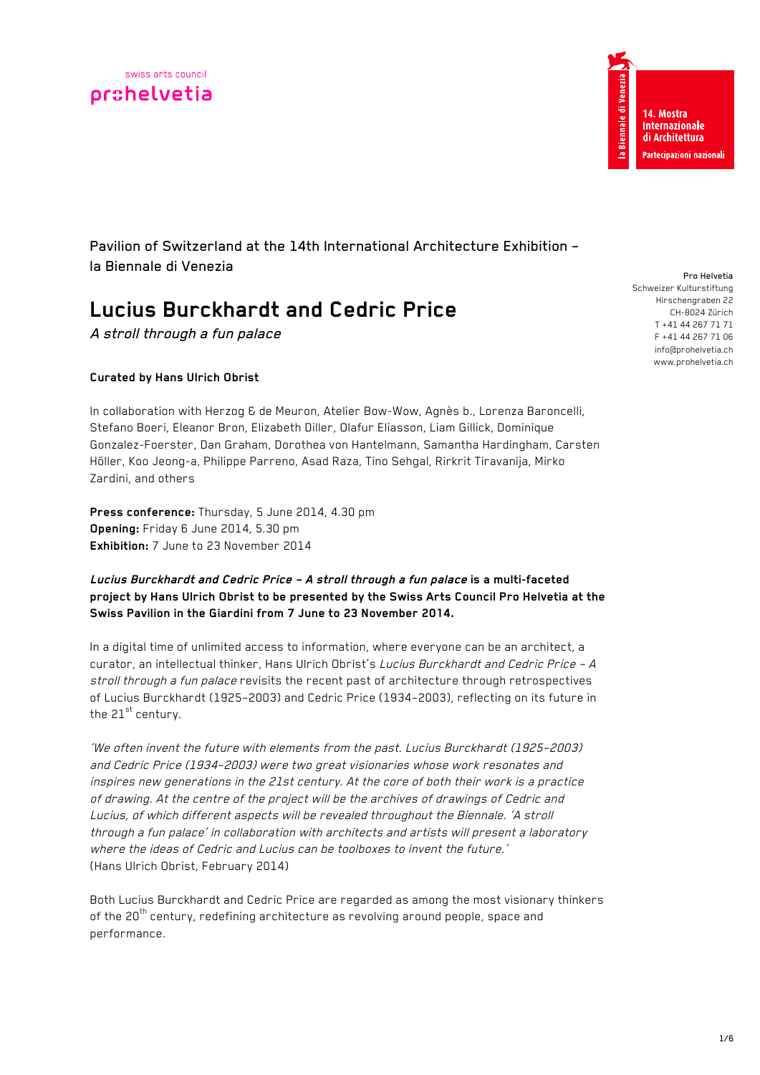



Pavilion of Switzerland at the 14th International Architecture Exhibition – la Biennale di Venezia

# **Lucius Burckhardt and Cedric Price**

A stroll through a fun palace

# **Curated by Hans Ulrich Obrist**

In collaboration with Herzog & de Meuron, Atelier Bow-Wow, Agnès b., Lorenza Baroncelli, Stefano Boeri, Eleanor Bron, Elizabeth Diller, Olafur Eliasson, Liam Gillick, Dominique Gonzalez-Foerster, Dan Graham, Dorothea von Hantelmann, Samantha Hardingham, Carsten Höller, Koo Jeong-a, Philippe Parreno, Asad Raza, Tino Sehgal, Rirkrit Tiravanija, Mirko Zardini, and others

**Press conference:** Thursday, 5 June 2014, 4.30 pm **Opening:** Friday 6 June 2014, 5.30 pm **Exhibition:** 7 June to 23 November 2014

## **Lucius Burckhardt and Cedric Price – A stroll through a fun palace is a multi-faceted project by Hans Ulrich Obrist to be presented by the Swiss Arts Council Pro Helvetia at the Swiss Pavilion in the Giardini from 7 June to 23 November 2014.**

In a digital time of unlimited access to information, where everyone can be an architect, a curator, an intellectual thinker, Hans Ulrich Obrist's Lucius Burckhardt and Cedric Price - A stroll through a fun palace revisits the recent past of architecture through retrospectives of Lucius Burckhardt (1925–2003) and Cedric Price (1934–2003), reflecting on its future in the  $21^{st}$  century.

'We often invent the future with elements from the past. Lucius Burckhardt (1925–2003) and Cedric Price (1934–2003) were two great visionaries whose work resonates and inspires new generations in the 21st century. At the core of both their work is a practice of drawing. At the centre of the project will be the archives of drawings of Cedric and Lucius, of which different aspects will be revealed throughout the Biennale. 'A stroll through a fun palace' in collaboration with architects and artists will present <sup>a</sup> laboratory where the ideas of Cedric and Lucius can be toolboxes to invent the future.' (Hans Ulrich Obrist, February 2014)

Both Lucius Burckhardt and Cedric Price are regarded as among the most visionary thinkers of the 20<sup>th</sup> century, redefining architecture as revolving around people, space and performance.

Pro Helvetia Schweizer Kulturstiftung Hirschengraben 22 CH-8024 Zürich T +41 44 267 71 71 F +41 44 267 71 06 info@prohelvetia.ch www.prohelvetia.ch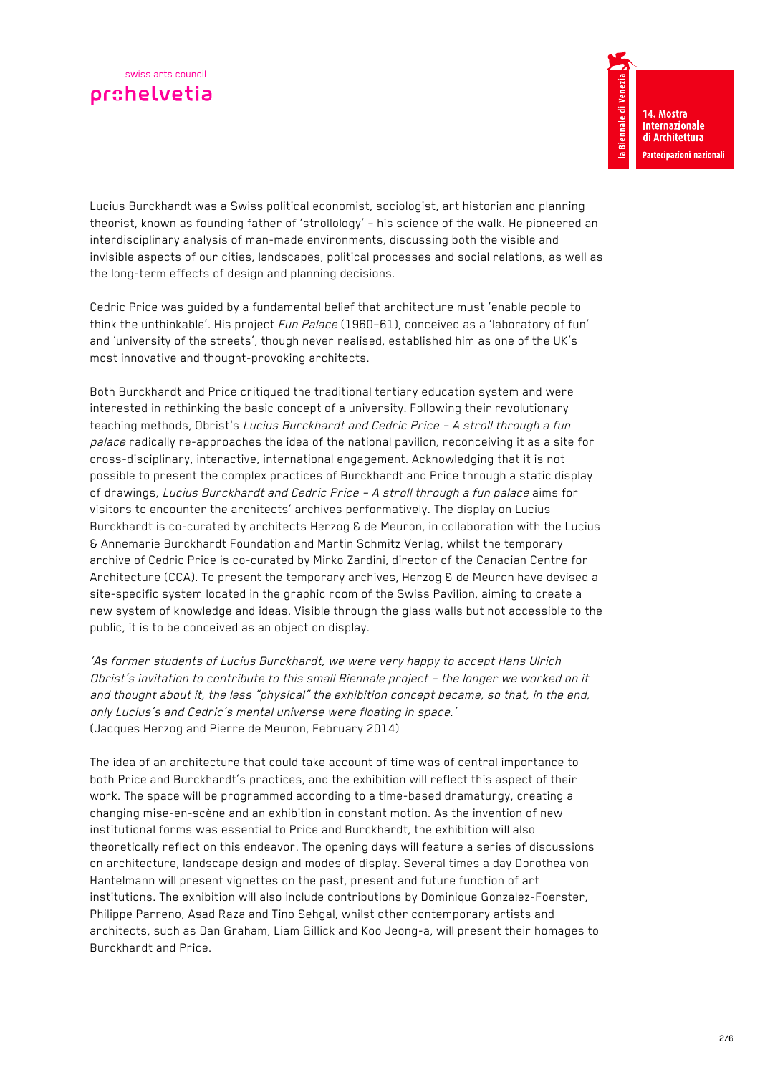

a Biennale di Venez 14. Mostra **Internazionale** di Architettura .<br>Partecipazioni nazionali

Lucius Burckhardt was a Swiss political economist, sociologist, art historian and planning theorist, known as founding father of 'strollology' – his science of the walk. He pioneered an interdisciplinary analysis of man-made environments, discussing both the visible and invisible aspects of our cities, landscapes, political processes and social relations, as well as the long-term effects of design and planning decisions.

Cedric Price was guided by a fundamental belief that architecture must 'enable people to think the unthinkable'. His project Fun Palace (1960-61), conceived as a 'laboratory of fun' and 'university of the streets', though never realised, established him as one of the UK's most innovative and thought-provoking architects.

Both Burckhardt and Price critiqued the traditional tertiary education system and were interested in rethinking the basic concept of a university. Following their revolutionary teaching methods, Obrist's Lucius Burckhardt and Cedric Price – A stroll through a fun palace radically re-approaches the idea of the national pavilion, reconceiving it as a site for cross-disciplinary, interactive, international engagement. Acknowledging that it is not possible to present the complex practices of Burckhardt and Price through a static display of drawings, Lucius Burckhardt and Cedric Price – A stroll through a fun palace aims for visitors to encounter the architects' archives performatively. The display on Lucius Burckhardt is co-curated by architects Herzog & de Meuron, in collaboration with the Lucius & Annemarie Burckhardt Foundation and Martin Schmitz Verlag, whilst the temporary archive of Cedric Price is co-curated by Mirko Zardini, director of the Canadian Centre for Architecture (CCA). To present the temporary archives, Herzog & de Meuron have devised a site-specific system located in the graphic room of the Swiss Pavilion, aiming to create a new system of knowledge and ideas. Visible through the glass walls but not accessible to the public, it is to be conceived as an object on display.

'As former students of Lucius Burckhardt, we were very happy to accept Hans Ulrich Obrist's invitation to contribute to this small Biennale project – the longer we worked on it and thought about it, the less "physical" the exhibition concept became, so that, in the end, only Lucius's and Cedric's mental universe were floating in space.' (Jacques Herzog and Pierre de Meuron, February 2014)

The idea of an architecture that could take account of time was of central importance to both Price and Burckhardt's practices, and the exhibition will reflect this aspect of their work. The space will be programmed according to a time-based dramaturgy, creating a changing mise-en-scène and an exhibition in constant motion. As the invention of new institutional forms was essential to Price and Burckhardt, the exhibition will also theoretically reflect on this endeavor. The opening days will feature a series of discussions on architecture, landscape design and modes of display. Several times a day Dorothea von Hantelmann will present vignettes on the past, present and future function of art institutions. The exhibition will also include contributions by Dominique Gonzalez-Foerster, Philippe Parreno, Asad Raza and Tino Sehgal, whilst other contemporary artists and architects, such as Dan Graham, Liam Gillick and Koo Jeong-a, will present their homages to Burckhardt and Price.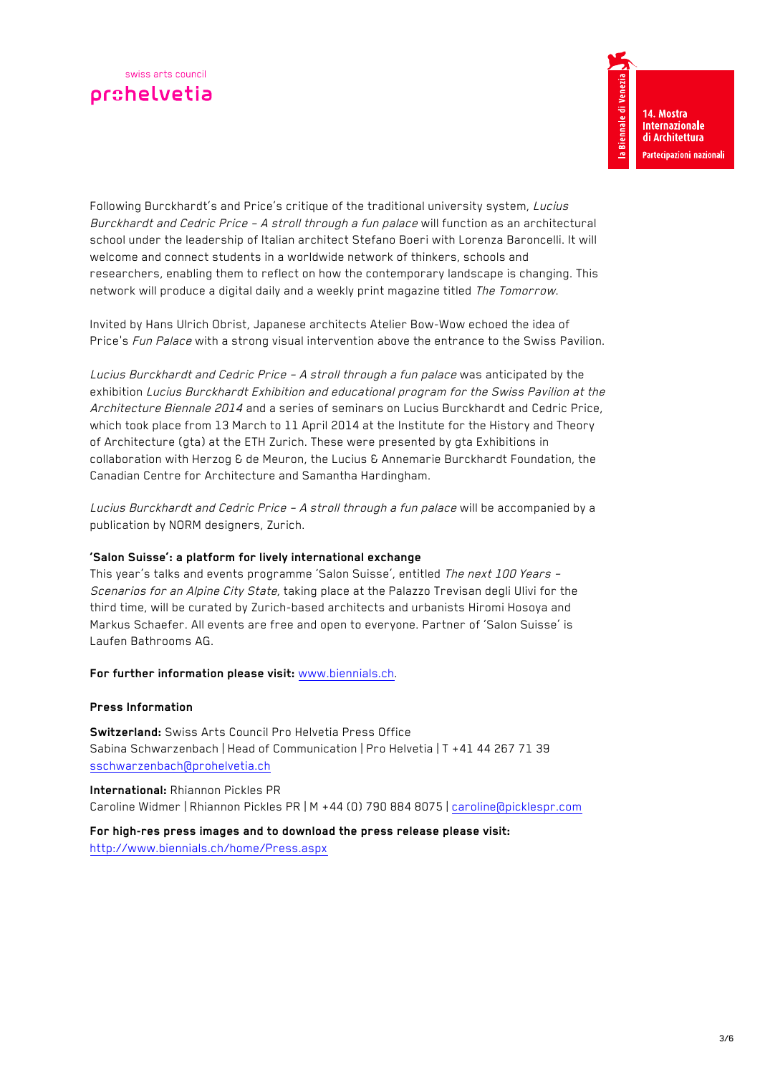Following Burckhardt's and Price's critique of the traditional university system, Lucius Burckhardt and Cedric Price - A stroll through a fun palace will function as an architectural school under the leadership of Italian architect Stefano Boeri with Lorenza Baroncelli. It will welcome and connect students in a worldwide network of thinkers, schools and researchers, enabling them to reflect on how the contemporary landscape is changing. This network will produce a digital daily and a weekly print magazine titled The Tomorrow.

Invited by Hans Ulrich Obrist, Japanese architects Atelier Bow-Wow echoed the idea of Price's Fun Palace with a strong visual intervention above the entrance to the Swiss Pavilion.

Lucius Burckhardt and Cedric Price – A stroll through a fun palace was anticipated by the exhibition Lucius Burckhardt Exhibition and educational program for the Swiss Pavilion at the Architecture Biennale 2014 and a series of seminars on Lucius Burckhardt and Cedric Price, which took place from 13 March to 11 April 2014 at the Institute for the History and Theory of Architecture (gta) at the ETH Zurich. These were presented by gta Exhibitions in collaboration with Herzog & de Meuron, the Lucius & Annemarie Burckhardt Foundation, the Canadian Centre for Architecture and Samantha Hardingham.

Lucius Burckhardt and Cedric Price - A stroll through a fun palace will be accompanied by a publication by NORM designers, Zurich.

## **'Salon Suisse': a platform for lively international exchange**

This year's talks and events programme 'Salon Suisse', entitled The next 100 Years -Scenarios for an Alpine City State, taking place at the Palazzo Trevisan degli Ulivi for the third time, will be curated by Zurich-based architects and urbanists Hiromi Hosoya and Markus Schaefer. All events are free and open to everyone. Partner of 'Salon Suisse' is Laufen Bathrooms AG.

**For further information please visit:** www.biennials.ch.

#### **Press Information**

**Switzerland:** Swiss Arts Council Pro Helvetia Press Office Sabina Schwarzenbach | Head of Communication | Pro Helvetia | T +41 44 267 71 39 sschwarzenbach@prohelvetia.ch

**International:** Rhiannon Pickles PR Caroline Widmer | Rhiannon Pickles PR | M +44 (0) 790 884 8075 | caroline@picklespr.com

#### **For high-res press images and to download the press release please visit:**

http://www.biennials.ch/home/Press.aspx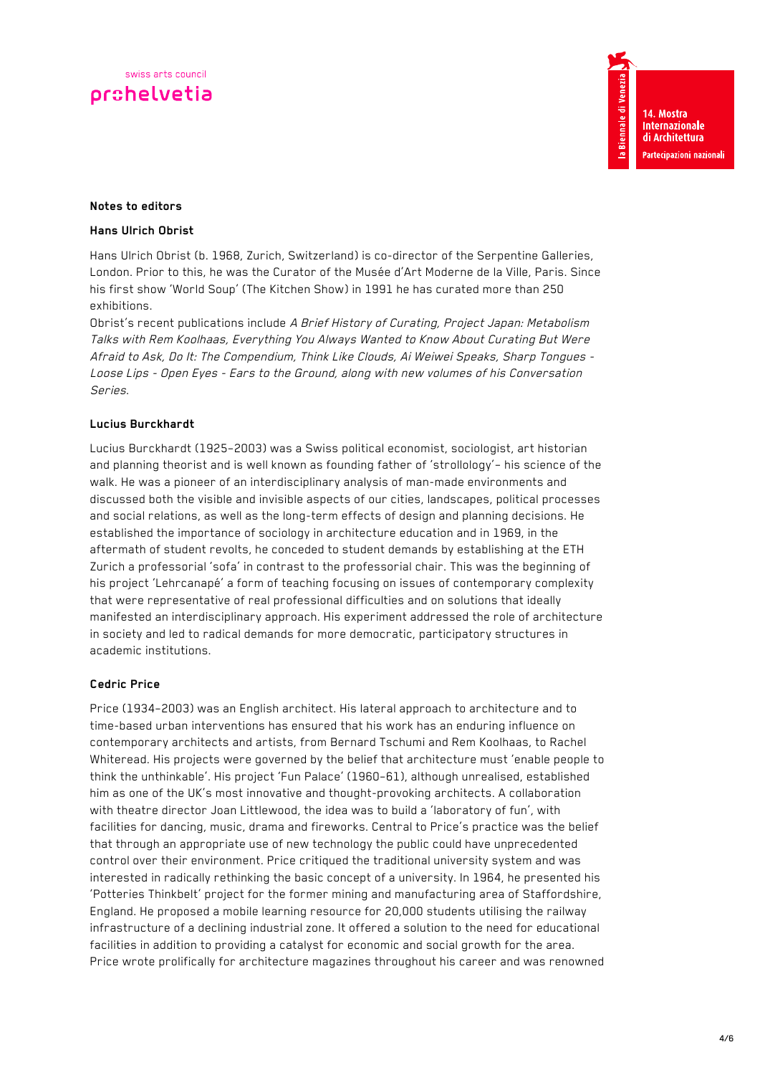## **Notes to editors**

#### **Hans Ulrich Obrist**

Hans Ulrich Obrist (b. 1968, Zurich, Switzerland) is co-director of the Serpentine Galleries, London. Prior to this, he was the Curator of the Musée d'Art Moderne de la Ville, Paris. Since his first show 'World Soup' (The Kitchen Show) in 1991 he has curated more than 250 exhibitions.

Obrist's recent publications include A Brief History of Curating, Project Japan: Metabolism Talks with Rem Koolhaas, Everything You Always Wanted to Know About Curating But Were Afraid to Ask, Do It: The Compendium, Think Like Clouds, Ai Weiwei Speaks, Sharp Tongues - Loose Lips - Open Eyes - Ears to the Ground, along with new volumes of his Conversation Series.

## **Lucius Burckhardt**

Lucius Burckhardt (1925–2003) was a Swiss political economist, sociologist, art historian and planning theorist and is well known as founding father of 'strollology'– his science of the walk. He was a pioneer of an interdisciplinary analysis of man-made environments and discussed both the visible and invisible aspects of our cities, landscapes, political processes and social relations, as well as the long-term effects of design and planning decisions. He established the importance of sociology in architecture education and in 1969, in the aftermath of student revolts, he conceded to student demands by establishing at the ETH Zurich a professorial 'sofa' in contrast to the professorial chair. This was the beginning of his project 'Lehrcanapé' a form of teaching focusing on issues of contemporary complexity that were representative of real professional difficulties and on solutions that ideally manifested an interdisciplinary approach. His experiment addressed the role of architecture in society and led to radical demands for more democratic, participatory structures in academic institutions.

#### **Cedric Price**

Price (1934–2003) was an English architect. His lateral approach to architecture and to time-based urban interventions has ensured that his work has an enduring influence on contemporary architects and artists, from Bernard Tschumi and Rem Koolhaas, to Rachel Whiteread. His projects were governed by the belief that architecture must 'enable people to think the unthinkable'. His project 'Fun Palace' (1960–61), although unrealised, established him as one of the UK's most innovative and thought-provoking architects. A collaboration with theatre director Joan Littlewood, the idea was to build a 'laboratory of fun', with facilities for dancing, music, drama and fireworks. Central to Price's practice was the belief that through an appropriate use of new technology the public could have unprecedented control over their environment. Price critiqued the traditional university system and was interested in radically rethinking the basic concept of a university. In 1964, he presented his 'Potteries Thinkbelt' project for the former mining and manufacturing area of Staffordshire, England. He proposed a mobile learning resource for 20,000 students utilising the railway infrastructure of a declining industrial zone. It offered a solution to the need for educational facilities in addition to providing a catalyst for economic and social growth for the area. Price wrote prolifically for architecture magazines throughout his career and was renowned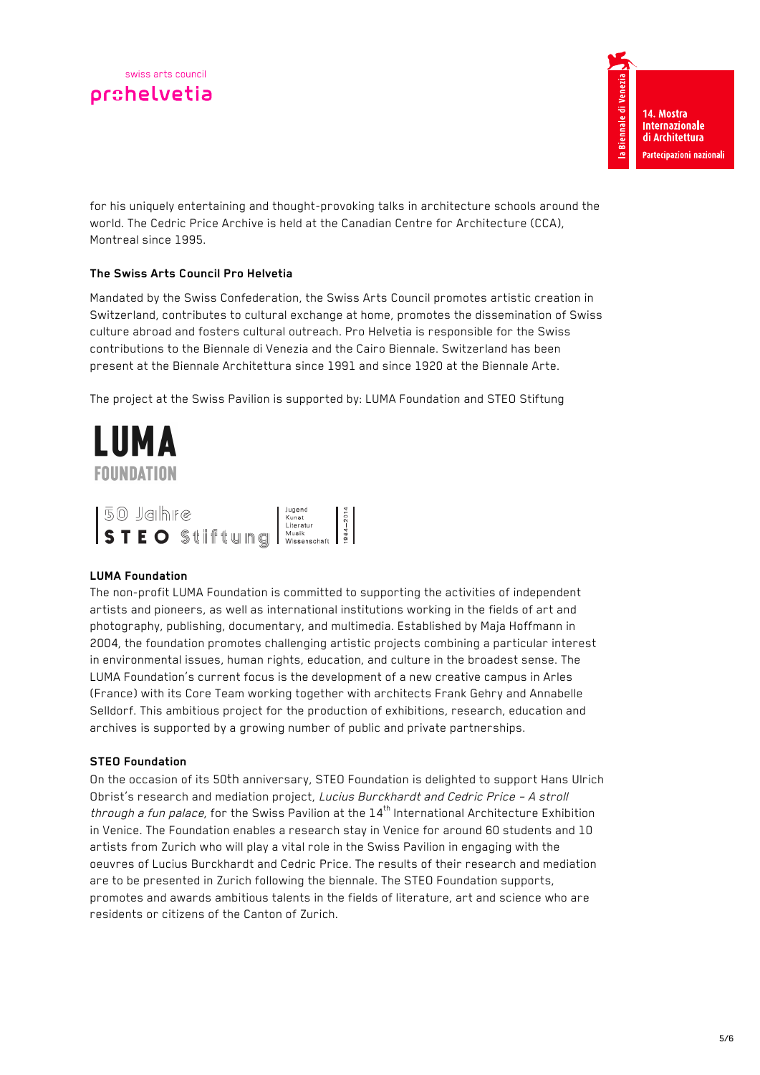for his uniquely entertaining and thought-provoking talks in architecture schools around the world. The Cedric Price Archive is held at the Canadian Centre for Architecture (CCA), Montreal since 1995.

# **The Swiss Arts Council Pro Helvetia**

Mandated by the Swiss Confederation, the Swiss Arts Council promotes artistic creation in Switzerland, contributes to cultural exchange at home, promotes the dissemination of Swiss culture abroad and fosters cultural outreach. Pro Helvetia is responsible for the Swiss contributions to the Biennale di Venezia and the Cairo Biennale. Switzerland has been present at the Biennale Architettura since 1991 and since 1920 at the Biennale Arte.

The project at the Swiss Pavilion is supported by: LUMA Foundation and STEO Stiftung



## **LUMA Foundation**

The non-profit LUMA Foundation is committed to supporting the activities of independent artists and pioneers, as well as international institutions working in the fields of art and photography, publishing, documentary, and multimedia. Established by Maja Hoffmann in 2004, the foundation promotes challenging artistic projects combining a particular interest in environmental issues, human rights, education, and culture in the broadest sense. The LUMA Foundation's current focus is the development of a new creative campus in Arles (France) with its Core Team working together with architects Frank Gehry and Annabelle Selldorf. This ambitious project for the production of exhibitions, research, education and archives is supported by a growing number of public and private partnerships.

## **STEO Foundation**

On the occasion of its 50th anniversary, STEO Foundation is delighted to support Hans Ulrich Obrist's research and mediation project, Lucius Burckhardt and Cedric Price – A stroll through a fun palace, for the Swiss Pavilion at the  $14<sup>th</sup>$  International Architecture Exhibition in Venice. The Foundation enables a research stay in Venice for around 60 students and 10 artists from Zurich who will play a vital role in the Swiss Pavilion in engaging with the oeuvres of Lucius Burckhardt and Cedric Price. The results of their research and mediation are to be presented in Zurich following the biennale. The STEO Foundation supports, promotes and awards ambitious talents in the fields of literature, art and science who are residents or citizens of the Canton of Zurich.